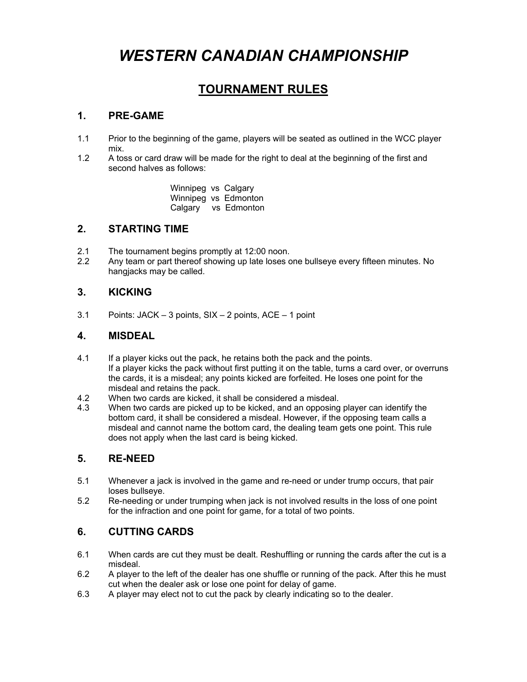# *WESTERN CANADIAN CHAMPIONSHIP*

### **TOURNAMENT RULES**

#### **1. PRE-GAME**

- 1.1 Prior to the beginning of the game, players will be seated as outlined in the WCC player mix.<br>1.2 A tos
- A toss or card draw will be made for the right to deal at the beginning of the first and second halves as follows:

 Winnipeg vs Calgary Winnipeg vs Edmonton Calgary vs Edmonton

#### **2. STARTING TIME**

- 2.1 The tournament begins promptly at 12:00 noon.
- 2.2 Any team or part thereof showing up late loses one bullseye every fifteen minutes. No hangjacks may be called.

#### **3. KICKING**

3.1 Points: JACK – 3 points, SIX – 2 points, ACE – 1 point

#### **4. MISDEAL**

- 4.1 If a player kicks out the pack, he retains both the pack and the points. If a player kicks the pack without first putting it on the table, turns a card over, or overruns the cards, it is a misdeal; any points kicked are forfeited. He loses one point for the misdeal and retains the pack.
- 4.2 When two cards are kicked, it shall be considered a misdeal.
- 4.3 When two cards are picked up to be kicked, and an opposing player can identify the bottom card, it shall be considered a misdeal. However, if the opposing team calls a misdeal and cannot name the bottom card, the dealing team gets one point. This rule does not apply when the last card is being kicked.

#### **5. RE-NEED**

- 5.1 Whenever a jack is involved in the game and re-need or under trump occurs, that pair loses bullseye.
- 5.2 Re-needing or under trumping when jack is not involved results in the loss of one point for the infraction and one point for game, for a total of two points.

#### **6. CUTTING CARDS**

- 6.1 When cards are cut they must be dealt. Reshuffling or running the cards after the cut is a misdeal.
- 6.2 A player to the left of the dealer has one shuffle or running of the pack. After this he must cut when the dealer ask or lose one point for delay of game.
- 6.3 A player may elect not to cut the pack by clearly indicating so to the dealer.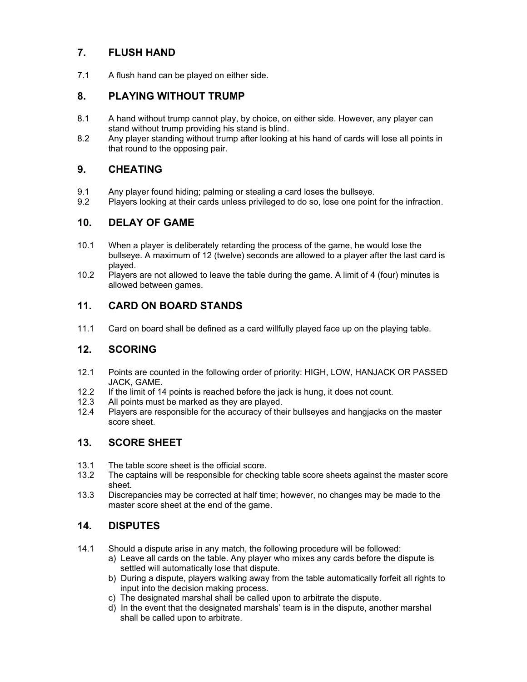#### **7. FLUSH HAND**

7.1 A flush hand can be played on either side.

#### **8. PLAYING WITHOUT TRUMP**

- 8.1 A hand without trump cannot play, by choice, on either side. However, any player can stand without trump providing his stand is blind.
- 8.2 Any player standing without trump after looking at his hand of cards will lose all points in that round to the opposing pair.

#### **9. CHEATING**

- 9.1 Any player found hiding; palming or stealing a card loses the bullseye.
- 9.2 Players looking at their cards unless privileged to do so, lose one point for the infraction.

#### **10. DELAY OF GAME**

- 10.1 When a player is deliberately retarding the process of the game, he would lose the bullseye. A maximum of 12 (twelve) seconds are allowed to a player after the last card is played.<br>10.2 Plavers
- Players are not allowed to leave the table during the game. A limit of 4 (four) minutes is allowed between games.

#### **11. CARD ON BOARD STANDS**

11.1 Card on board shall be defined as a card willfully played face up on the playing table.

#### **12. SCORING**

- 12.1 Points are counted in the following order of priority: HIGH, LOW, HANJACK OR PASSED JACK, GAME.
- 12.2 If the limit of 14 points is reached before the jack is hung, it does not count.
- 12.3 All points must be marked as they are played.
- 12.4 Players are responsible for the accuracy of their bullseyes and hangjacks on the master score sheet.

#### **13. SCORE SHEET**

- 13.1 The table score sheet is the official score.
- 13.2 The captains will be responsible for checking table score sheets against the master score sheet.
- 13.3 Discrepancies may be corrected at half time; however, no changes may be made to the master score sheet at the end of the game.

#### **14. DISPUTES**

- 14.1 Should a dispute arise in any match, the following procedure will be followed:
	- a) Leave all cards on the table. Any player who mixes any cards before the dispute is settled will automatically lose that dispute.
	- b) During a dispute, players walking away from the table automatically forfeit all rights to input into the decision making process.
	- c) The designated marshal shall be called upon to arbitrate the dispute.
	- d) In the event that the designated marshals' team is in the dispute, another marshal shall be called upon to arbitrate.